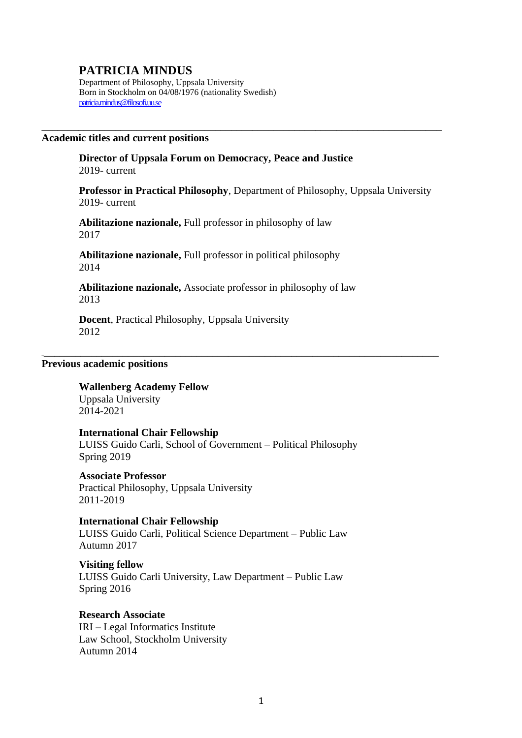# **PATRICIA MINDUS**

Department of Philosophy, Uppsala University Born in Stockholm on 04/08/1976 (nationality Swedish) [patricia.mindus@filosofi.uu.se](mailto:patricia.mindus@filosofi.uu.se)

#### **Academic titles and current positions**

**Director of [Uppsala Forum on Democracy, Peace and Justice](https://www.uppsalaforum.uu.se/?languageId=1)** 2019- current

**Professor in Practical Philosophy**, Department of Philosophy, Uppsala University 2019- current

\_\_\_\_\_\_\_\_\_\_\_\_\_\_\_\_\_\_\_\_\_\_\_\_\_\_\_\_\_\_\_\_\_\_\_\_\_\_\_\_\_\_\_\_\_\_\_\_\_\_\_\_\_\_\_\_\_\_\_\_\_\_\_\_\_\_\_\_\_\_\_\_\_\_\_\_

**Abilitazione nazionale,** Full professor in philosophy of law 2017

**Abilitazione nazionale,** Full professor in political philosophy 2014

**Abilitazione nazionale,** Associate professor in philosophy of law 2013

\_\_\_\_\_\_\_\_\_\_\_\_\_\_\_\_\_\_\_\_\_\_\_\_\_\_\_\_\_\_\_\_\_\_\_\_\_\_\_\_\_\_\_\_\_\_\_\_\_\_\_\_\_\_\_\_\_\_\_\_\_\_\_\_\_\_\_\_\_\_\_\_\_\_\_\_

**Docent**, Practical Philosophy, Uppsala University 2012

## **Previous academic positions**

**Wallenberg Academy Fellow** Uppsala University 2014-2021

## **International Chair Fellowship**  LUISS Guido Carli, School of Government – Political Philosophy Spring 2019

**Associate Professor** Practical Philosophy, Uppsala University 2011-2019

**International Chair Fellowship**  LUISS Guido Carli, Political Science Department – Public Law Autumn 2017

**Visiting fellow** LUISS Guido Carli University, Law Department – Public Law Spring 2016

**Research Associate** IRI – Legal Informatics Institute Law School, Stockholm University Autumn 2014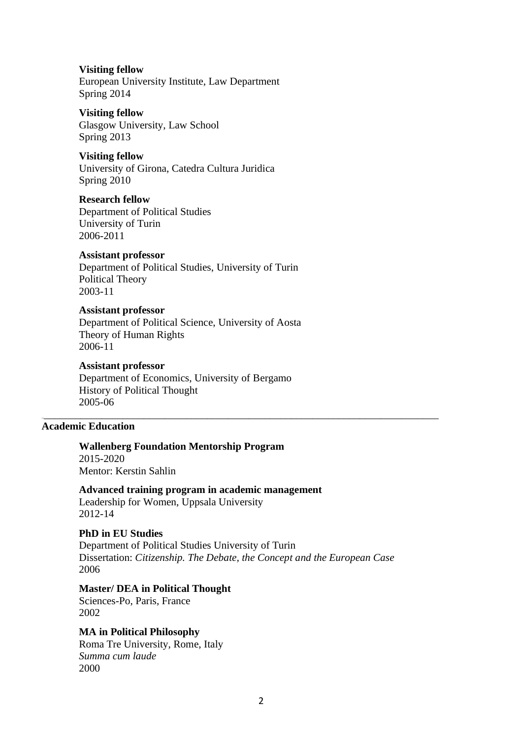**Visiting fellow** European University Institute, Law Department Spring 2014

**Visiting fellow** Glasgow University, Law School Spring 2013

**Visiting fellow** University of Girona, Catedra Cultura Juridica Spring 2010

**Research fellow** Department of Political Studies University of Turin 2006-2011

## **Assistant professor**

Department of Political Studies, University of Turin Political Theory 2003-11

### **Assistant professor**

Department of Political Science, University of Aosta Theory of Human Rights 2006-11

#### **Assistant professor**

Department of Economics, University of Bergamo History of Political Thought 2005-06

## **Academic Education**

**Wallenberg Foundation Mentorship Program** 2015-2020 Mentor: Kerstin Sahlin

**Advanced training program in academic management** Leadership for Women, Uppsala University 2012-14

**PhD in EU Studies**

Department of Political Studies University of Turin Dissertation: *Citizenship. The Debate, the Concept and the European Case* 2006

\_\_\_\_\_\_\_\_\_\_\_\_\_\_\_\_\_\_\_\_\_\_\_\_\_\_\_\_\_\_\_\_\_\_\_\_\_\_\_\_\_\_\_\_\_\_\_\_\_\_\_\_\_\_\_\_\_\_\_\_\_\_\_\_\_\_\_\_\_\_\_\_\_\_\_\_

### **Master/ DEA in Political Thought**

Sciences-Po, Paris, France 2002

## **MA in Political Philosophy**

Roma Tre University, Rome, Italy *Summa cum laude* 2000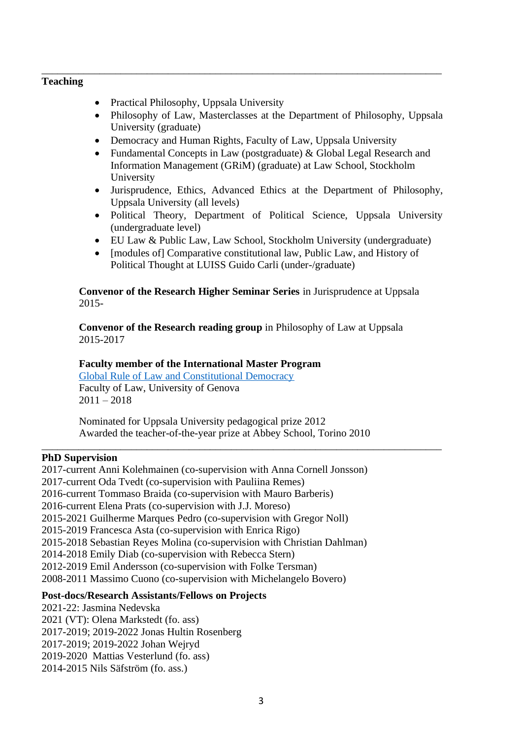## **Teaching**

- Practical Philosophy, Uppsala University
- Philosophy of Law, Masterclasses at the Department of Philosophy, Uppsala University (graduate)
- Democracy and Human Rights, Faculty of Law, Uppsala University

\_\_\_\_\_\_\_\_\_\_\_\_\_\_\_\_\_\_\_\_\_\_\_\_\_\_\_\_\_\_\_\_\_\_\_\_\_\_\_\_\_\_\_\_\_\_\_\_\_\_\_\_\_\_\_\_\_\_\_\_\_\_\_\_\_\_\_\_\_\_\_\_\_\_\_\_

- Fundamental Concepts in Law (postgraduate) & Global Legal Research and Information Management (GRiM) (graduate) at Law School, Stockholm University
- Jurisprudence, Ethics, Advanced Ethics at the Department of Philosophy, Uppsala University (all levels)
- Political Theory, Department of Political Science, Uppsala University (undergraduate level)
- EU Law & Public Law, Law School, Stockholm University (undergraduate)
- [modules of] Comparative constitutional law, Public Law, and History of Political Thought at LUISS Guido Carli (under-/graduate)

**Convenor of the Research Higher Seminar Series** in Jurisprudence at Uppsala 2015-

**Convenor of the Research reading group** in Philosophy of Law at Uppsala 2015-2017

## **Faculty member of the International Master Program**

[Global Rule of Law and Constitutional Democracy](http://istitutotarello.org/studyprograms/master/) Faculty of Law, University of Genova  $2011 - 2018$ 

Nominated for Uppsala University pedagogical prize 2012 Awarded the teacher-of-the-year prize at Abbey School, Torino 2010

\_\_\_\_\_\_\_\_\_\_\_\_\_\_\_\_\_\_\_\_\_\_\_\_\_\_\_\_\_\_\_\_\_\_\_\_\_\_\_\_\_\_\_\_\_\_\_\_\_\_\_\_\_\_\_\_\_\_\_\_\_\_\_\_\_\_\_\_\_\_\_\_\_\_\_\_

#### **PhD Supervision**

2017-current Anni Kolehmainen (co-supervision with Anna Cornell Jonsson) 2017-current Oda Tvedt (co-supervision with Pauliina Remes) 2016-current Tommaso Braida (co-supervision with Mauro Barberis) 2016-current Elena Prats (co-supervision with J.J. Moreso) 2015-2021 Guilherme Marques Pedro (co-supervision with Gregor Noll) 2015-2019 Francesca Asta (co-supervision with Enrica Rigo) 2015-2018 Sebastian Reyes Molina (co-supervision with Christian Dahlman) 2014-2018 Emily Diab (co-supervision with Rebecca Stern) 2012-2019 Emil Andersson (co-supervision with Folke Tersman) 2008-2011 Massimo Cuono (co-supervision with Michelangelo Bovero)

## **Post-docs/Research Assistants/Fellows on Projects**

- 2021-22: Jasmina Nedevska
- 2021 (VT): Olena Markstedt (fo. ass)
- 2017-2019; 2019-2022 Jonas Hultin Rosenberg
- 2017-2019; 2019-2022 Johan Wejryd
- 2019-2020 Mattias Vesterlund (fo. ass)
- 2014-2015 Nils Säfström (fo. ass.)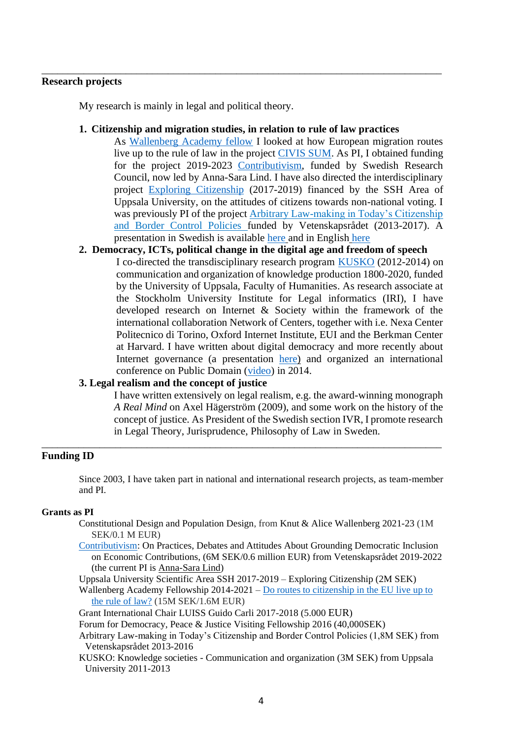## **Research projects**

My research is mainly in legal and political theory.

## **1. Citizenship and migration studies, in relation to rule of law practices**

\_\_\_\_\_\_\_\_\_\_\_\_\_\_\_\_\_\_\_\_\_\_\_\_\_\_\_\_\_\_\_\_\_\_\_\_\_\_\_\_\_\_\_\_\_\_\_\_\_\_\_\_\_\_\_\_\_\_\_\_\_\_\_\_\_\_\_\_\_\_\_\_\_\_\_\_

As [Wallenberg Academy fellow](http://www.wallenbergacademyfellows.se/en/List-of-scientists/Patricia-Mindus/) I looked at how European migration routes live up to the rule of law in the project [CIVIS SUM.](http://civissum.eu/) As PI, I obtained funding for the project 2019-2023 [Contributivism,](https://www.crs.uu.se/research/contributivism/) funded by Swedish Research Council, now led by Anna-Sara Lind. I have also directed the interdisciplinary project [Exploring Citizenship](http://www.filosofi.uu.se/research/research-projects/exploring-citizenship/?languageId=1) (2017-2019) financed by the SSH Area of Uppsala University, on the attitudes of citizens towards non-national voting. I was previously PI of the project [Arbitrary Law-making in Today's Citizenship](http://www.filosofi.uu.se/forskning/Projekt/arbitrary-law-making/)  [and Border Control Policies](http://www.filosofi.uu.se/forskning/Projekt/arbitrary-law-making/) funded by Vetenskapsrådet (2013-2017). A presentation in Swedish is available [here](http://www.ur.se/Produkter/178695-UR-Samtiden-Folkvandringar-da-och-nu-Medborgarskap-i-migrationstider) and in English [here](https://www.youtube.com/watch?v=yboQmqkkEUE)

## **2. Democracy, ICTs, political change in the digital age and freedom of speech**

I co-directed the transdisciplinary research program [KUSKO](http://www.histfilfak.uu.se/kusko/) (2012-2014) on communication and organization of knowledge production 1800-2020, funded by the University of Uppsala, Faculty of Humanities. As research associate at the Stockholm University Institute for Legal informatics (IRI), I have developed research on Internet & Society within the framework of the international collaboration Network of Centers, together with i.e. Nexa Center Politecnico di Torino, Oxford Internet Institute, EUI and the Berkman Center at Harvard. I have written about digital democracy and more recently about Internet governance (a presentation [here\)](http://media.medfarm.uu.se/play/kanal/226/video/4423) and organized an international conference on Public Domain [\(video\)](http://media.medfarm.uu.se/play/kanal/226) in 2014.

## **3. Legal realism and the concept of justice**

I have written extensively on legal realism, e.g. the award-winning monograph *A Real Mind* on Axel Hägerström (2009), and some work on the history of the concept of justice. As President of the Swedish sectio[n IVR,](http://www.ivr2003.net/bologna/) I promote research in Legal Theory, Jurisprudence, Philosophy of Law in Sweden.

## **Funding ID**

Since 2003, I have taken part in national and international research projects, as team-member and PI.

\_\_\_\_\_\_\_\_\_\_\_\_\_\_\_\_\_\_\_\_\_\_\_\_\_\_\_\_\_\_\_\_\_\_\_\_\_\_\_\_\_\_\_\_\_\_\_\_\_\_\_\_\_\_\_\_\_\_\_\_\_\_\_\_\_\_\_\_\_\_\_\_\_\_\_\_

## **Grants as PI**

- Constitutional Design and Population Design, from Knut & Alice Wallenberg 2021-23 (1M SEK/0.1 M EUR)
- [Contributivism:](https://www.crs.uu.se/research/contributivism/) On Practices, Debates and Attitudes About Grounding Democratic Inclusion on Economic Contributions, (6M SEK/0.6 million EUR) from Vetenskapsrådet 2019-2022 (the current PI is [Anna-Sara Lind\)](https://www.filosofi.uu.se/research/research-projects/contributivism/#anchor-753718)
- Uppsala University Scientific Area SSH 2017-2019 Exploring Citizenship (2M SEK)

Wallenberg Academy Fellowship 2014-2021 – Do routes to [citizenship](http://www.wallenbergacademyfellows.se/en/List-of-scientists/Patricia-Mindus/) in the EU live up to the rule of [law?](http://www.wallenbergacademyfellows.se/en/List-of-scientists/Patricia-Mindus/) (15M SEK/1.6M EUR)

Grant International Chair LUISS Guido Carli 2017-2018 (5.000 EUR)

Forum for Democracy, Peace & Justice Visiting Fellowship 2016 (40,000SEK)

- Arbitrary Law-making in Today's Citizenship and Border Control Policies (1,8M SEK) from Vetenskapsrådet 2013-2016
- KUSKO: Knowledge societies Communication and organization (3M SEK) from Uppsala University 2011-2013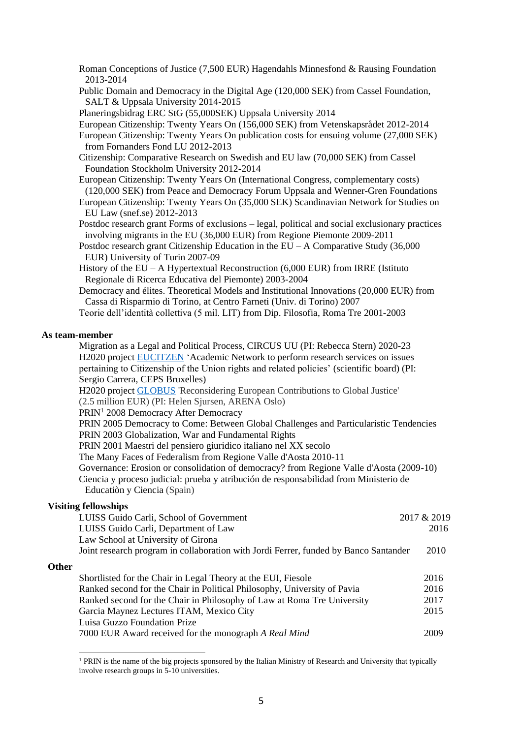- Roman Conceptions of Justice (7,500 EUR) Hagendahls Minnesfond & Rausing Foundation 2013-2014
- Public Domain and Democracy in the Digital Age (120,000 SEK) from Cassel Foundation, SALT & Uppsala University 2014-2015

Planeringsbidrag ERC StG (55,000SEK) Uppsala University 2014

European Citizenship: Twenty Years On (156,000 SEK) from Vetenskapsrådet 2012-2014

European Citizenship: Twenty Years On publication costs for ensuing volume (27,000 SEK) from Fornanders Fond LU 2012-2013

Citizenship: Comparative Research on Swedish and EU law (70,000 SEK) from Cassel Foundation Stockholm University 2012-2014

- European Citizenship: Twenty Years On (International Congress, complementary costs) (120,000 SEK) from Peace and Democracy Forum Uppsala and Wenner-Gren Foundations
- European Citizenship: Twenty Years On (35,000 SEK) Scandinavian Network for Studies on EU Law (snef.se) 2012-2013

Postdoc research grant Forms of exclusions – legal, political and social exclusionary practices involving migrants in the EU (36,000 EUR) from Regione Piemonte 2009-2011

Postdoc research grant Citizenship Education in the  $EU - A$  Comparative Study (36,000) EUR) University of Turin 2007-09

History of the  $EU - A$  Hypertextual Reconstruction (6,000 EUR) from IRRE (Istituto Regionale di Ricerca Educativa del Piemonte) 2003-2004

Democracy and élites. Theoretical Models and Institutional Innovations (20,000 EUR) from Cassa di Risparmio di Torino, at Centro Farneti (Univ. di Torino) 2007

Teorie dell'identità collettiva (5 mil. LIT) from Dip. Filosofia, Roma Tre 2001-2003

#### **As team-member**

| Migration as a Legal and Political Process, CIRCUS UU (PI: Rebecca Stern) 2020-23           |
|---------------------------------------------------------------------------------------------|
| H2020 project EUCITZEN 'Academic Network to perform research services on issues             |
| pertaining to Citizenship of the Union rights and related policies' (scientific board) (PI: |
| Sergio Carrera, CEPS Bruxelles)                                                             |
| H2020 project GLOBUS 'Reconsidering European Contributions to Global Justice'               |
| (2.5 million EUR) (PI: Helen Sjursen, ARENA Oslo)                                           |
| PRIN <sup>1</sup> 2008 Democracy After Democracy                                            |
| PRIN 2005 Democracy to Come: Between Global Challenges and Particularistic Tendencies       |
| PRIN 2003 Globalization, War and Fundamental Rights                                         |
| PRIN 2001 Maestri del pensiero giuridico italiano nel XX secolo                             |
| The Many Faces of Federalism from Regione Valle d'Aosta 2010-11                             |
| Governance: Erosion or consolidation of democracy? from Regione Valle d'Aosta (2009-10)     |
| Ciencia y proceso judicial: prueba y atribución de responsabilidad from Ministerio de       |
| Education y Ciencia (Spain)                                                                 |
| . fallamahina                                                                               |

#### **Visiting fellowships**

|              | LUISS Guido Carli, School of Government                                              | 2017 & 2019 |
|--------------|--------------------------------------------------------------------------------------|-------------|
|              | LUISS Guido Carli, Department of Law                                                 | 2016        |
|              | Law School at University of Girona                                                   |             |
|              | Joint research program in collaboration with Jordi Ferrer, funded by Banco Santander | 2010        |
| <b>Other</b> |                                                                                      |             |
|              | Shortlisted for the Chair in Legal Theory at the EUI, Fiesole                        | 2016        |
|              | Ranked second for the Chair in Political Philosophy, University of Pavia             | 2016        |
|              | Ranked second for the Chair in Philosophy of Law at Roma Tre University              | 2017        |
|              | Garcia Maynez Lectures ITAM, Mexico City                                             | 2015        |
|              | Luisa Guzzo Foundation Prize                                                         |             |
|              | 7000 EUR Award received for the monograph A Real Mind                                | 2009        |
|              |                                                                                      |             |

<sup>&</sup>lt;sup>1</sup> PRIN is the name of the big projects sponsored by the Italian Ministry of Research and University that typically involve research groups in 5-10 universities.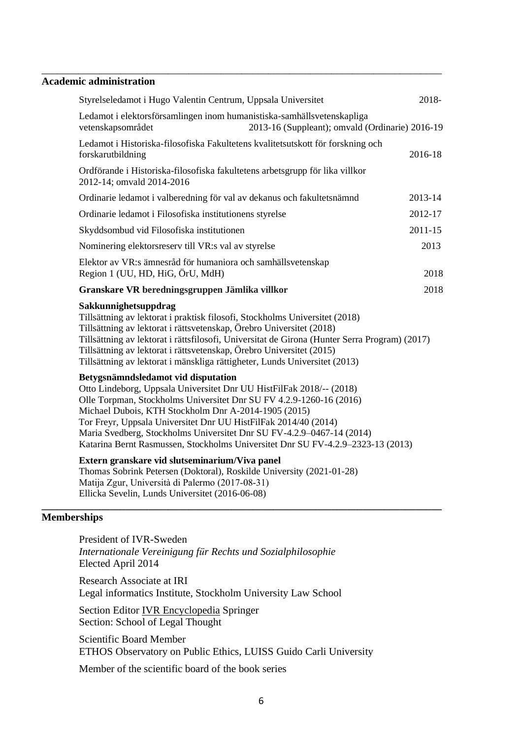## **Academic administration**

|                    | Styrelseledamot i Hugo Valentin Centrum, Uppsala Universitet                                                                                                                                                                                                                                                                                                                                                                                                              |                                                 | 2018-       |
|--------------------|---------------------------------------------------------------------------------------------------------------------------------------------------------------------------------------------------------------------------------------------------------------------------------------------------------------------------------------------------------------------------------------------------------------------------------------------------------------------------|-------------------------------------------------|-------------|
|                    | Ledamot i elektorsförsamlingen inom humanistiska-samhällsvetenskapliga<br>vetenskapsområdet                                                                                                                                                                                                                                                                                                                                                                               | 2013-16 (Suppleant); omvald (Ordinarie) 2016-19 |             |
|                    | Ledamot i Historiska-filosofiska Fakultetens kvalitetsutskott för forskning och<br>forskarutbildning                                                                                                                                                                                                                                                                                                                                                                      |                                                 | 2016-18     |
|                    | Ordförande i Historiska-filosofiska fakultetens arbetsgrupp för lika villkor<br>2012-14; omvald 2014-2016                                                                                                                                                                                                                                                                                                                                                                 |                                                 |             |
|                    | Ordinarie ledamot i valberedning för val av dekanus och fakultetsnämnd                                                                                                                                                                                                                                                                                                                                                                                                    |                                                 | 2013-14     |
|                    | Ordinarie ledamot i Filosofiska institutionens styrelse                                                                                                                                                                                                                                                                                                                                                                                                                   |                                                 | 2012-17     |
|                    | Skyddsombud vid Filosofiska institutionen                                                                                                                                                                                                                                                                                                                                                                                                                                 |                                                 | $2011 - 15$ |
|                    | Nominering elektorsreserv till VR:s val av styrelse                                                                                                                                                                                                                                                                                                                                                                                                                       |                                                 | 2013        |
|                    | Elektor av VR:s ämnesråd för humaniora och samhällsvetenskap<br>Region 1 (UU, HD, HiG, ÖrU, MdH)                                                                                                                                                                                                                                                                                                                                                                          |                                                 | 2018        |
|                    | Granskare VR beredningsgruppen Jämlika villkor                                                                                                                                                                                                                                                                                                                                                                                                                            |                                                 | 2018        |
|                    | Sakkunnighetsuppdrag<br>Tillsättning av lektorat i praktisk filosofi, Stockholms Universitet (2018)<br>Tillsättning av lektorat i rättsvetenskap, Örebro Universitet (2018)<br>Tillsättning av lektorat i rättsfilosofi, Universitat de Girona (Hunter Serra Program) (2017)<br>Tillsättning av lektorat i rättsvetenskap, Örebro Universitet (2015)<br>Tillsättning av lektorat i mänskliga rättigheter, Lunds Universitet (2013)                                        |                                                 |             |
|                    | Betygsnämndsledamot vid disputation<br>Otto Lindeborg, Uppsala Universitet Dnr UU HistFilFak 2018/-- (2018)<br>Olle Torpman, Stockholms Universitet Dnr SU FV 4.2.9-1260-16 (2016)<br>Michael Dubois, KTH Stockholm Dnr A-2014-1905 (2015)<br>Tor Freyr, Uppsala Universitet Dnr UU HistFilFak 2014/40 (2014)<br>Maria Svedberg, Stockholms Universitet Dnr SU FV-4.2.9-0467-14 (2014)<br>Katarina Bernt Rasmussen, Stockholms Universitet Dnr SU FV-4.2.9-2323-13 (2013) |                                                 |             |
|                    | Extern granskare vid slutseminarium/Viva panel<br>Thomas Sobrink Petersen (Doktoral), Roskilde University (2021-01-28)<br>Matija Zgur, Università di Palermo (2017-08-31)<br>Ellicka Sevelin, Lunds Universitet (2016-06-08)                                                                                                                                                                                                                                              |                                                 |             |
| <b>Memberships</b> |                                                                                                                                                                                                                                                                                                                                                                                                                                                                           |                                                 |             |

\_\_\_\_\_\_\_\_\_\_\_\_\_\_\_\_\_\_\_\_\_\_\_\_\_\_\_\_\_\_\_\_\_\_\_\_\_\_\_\_\_\_\_\_\_\_\_\_\_\_\_\_\_\_\_\_\_\_\_\_\_\_\_\_\_\_\_\_\_\_\_\_\_\_\_\_

President of IVR-Sweden *Internationale Vereinigung für Rechts und Sozialphilosophie* Elected April 2014

Research Associate at IRI Legal informatics Institute, Stockholm University Law School

Section Editor [IVR Encyclopedia](http://refworks.springer.com/mrw/index.php?id=6107) Springer Section: School of Legal Thought

Scientific Board Member ETHOS Observatory on Public Ethics, LUISS Guido Carli University

Member of the scientific board of the book series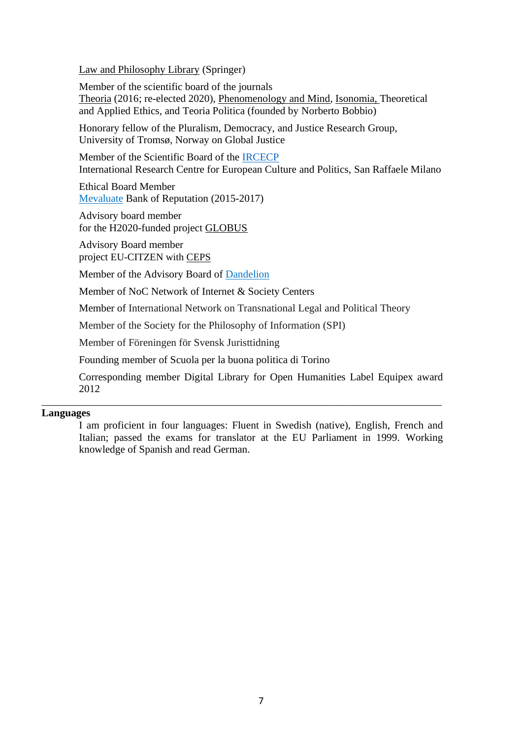[Law and Philosophy Library](http://www.springer.com/series/6210) (Springer)

Member of the scientific board of the journals [Theoria](http://onlinelibrary.wiley.com/journal/10.1111/(ISSN)1755-2567) (2016; re-elected 2020), [Phenomenology and Mind,](https://oaj.fupress.net/index.php/pam/index) [Isonomia,](http://www.isonomia.itam.mx/) [Theoretical](https://blogs.montclair.edu/tae/files/2010/11/TAE-Vol-1-Issue-1_Moral-Psychology.pdf)  [and Applied Ethics,](https://blogs.montclair.edu/tae/files/2010/11/TAE-Vol-1-Issue-1_Moral-Psychology.pdf) and [Teoria Politica](http://revistas.marcialpons.es/ficharevista.php?id_revista=33201) (founded by Norberto Bobbio)

Honorary fellow of the Pluralism, Democracy, and Justice Research Group, University of Tromsø, Norway on Global Justice

Member of the Scientific Board of the [IRCECP](http://www.unisr.it/en/international-research-centre-for-european-culture-and-politics/) International Research Centre for European Culture and Politics, San Raffaele Milano

Ethical Board Member [Mevaluate](/Users/patmi287/Documents/CV/Cv%20medarbetarportalen%202019/Mevaluate) Bank of Reputation (2015-2017)

Advisory board member for the H2020-funded project [GLOBUS](http://www.sv.uio.no/arena/english/about/news-and-events/news/news-2015/globus-arena-to-coordinate-eu-project.html)

Advisory Board member project EU-CITZEN with [CEPS](https://www.ceps.eu/)

Member of the Advisory Board of [Dandelion](http://www.dandelion-europe.eu/)

Member of NoC Network of Internet & Society Centers

Member of International Network on Transnational Legal and Political Theory

\_\_\_\_\_\_\_\_\_\_\_\_\_\_\_\_\_\_\_\_\_\_\_\_\_\_\_\_\_\_\_\_\_\_\_\_\_\_\_\_\_\_\_\_\_\_\_\_\_\_\_\_\_\_\_\_\_\_\_\_\_\_\_\_\_\_\_\_\_\_\_\_\_\_\_\_

Member of the Society for the Philosophy of Information [\(SPI\)](http://www.socphilinfo.org/about-spi/mission)

Member of Föreningen för Svensk Juristtidning

Founding member of [Scuola per la buona politica di Torino](http://www.sbptorino.org/)

Corresponding member Digital Library for Open Humanities Label Equipex [award](http://leo.hypotheses.org/8619) 2012

### **Languages**

I am proficient in four languages: Fluent in Swedish (native), English, French and Italian; passed the exams for translator at the EU Parliament in 1999. Working knowledge of Spanish and read German.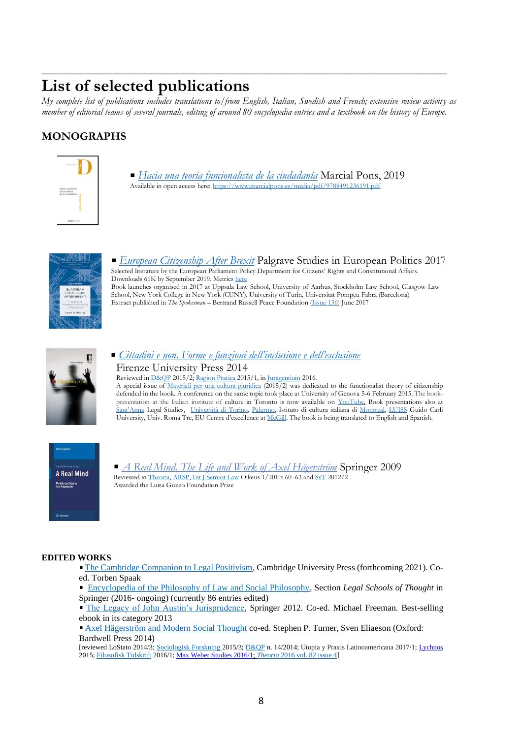# **List of selected publications**

*My complete list of publications includes translations to/from English, Italian, Swedish and French; extensive review activity as member of editorial teams of several journals, editing of around 80 encyclopedia entries and a textbook on the history of Europe.*

\_\_\_\_\_\_\_\_\_\_\_\_\_\_\_\_\_\_\_\_\_\_\_\_\_\_\_\_\_\_\_\_\_\_\_\_\_\_\_\_\_\_\_\_\_\_\_\_\_\_\_\_\_\_\_\_\_\_\_\_\_\_\_\_\_\_\_\_\_\_\_

# **MONOGRAPHS**



*[Hacia una teoría funcionalista de la ciudadanía](https://www.marcialpons.es/libros/hacia-una-teoria-funcionalista-de-la-ciudadania/9788491236191/)* Marcial Pons, 2019 Available in open access here[: https://www.marcialpons.es/media/pdf/9788491236191.pdf](https://www.marcialpons.es/media/pdf/9788491236191.pdf)



*[European Citizenship After Brexit](https://www.amazon.it/dp/3319517732)* Palgrave Studies in European Politics 2017 Selected literature by the European Parliament Policy Department for Citizens' Rights and Constitutional Affairs. Downloads 61K by September 2019. Metric[s here](http://www.bookmetrix.com/detail/book/27a0da32-9909-43e3-be09-86eba44f1a0a#downloads) Book launches organised in 2017 at Uppsala Law School, University of Aarhus, Stockholm Law School, Glasgow Law School, New York College in New York (CUNY), University of Turin, Universitat Pompeu Fabra (Barcelona) Extract published in *The Spokesman* – Bertrand Russell Peace Foundation [\(Issue 136\)](http://www.spokesmanbookshop.com/) June 2017



### *Cittadini e non*. *Forme e funzioni [dell'inclusione e dell'esclusione](http://www.fupress.com/catalogo/cittadini-e-no--forme-e-funzioni-dell-inclusione-e-dell-esclusione/2460)* Firenze University Press 2014 Reviewed i[n D&QP](http://www.dirittoequestionipubbliche.org/page/2015_n15-1/03_rece_15-Grifo.pdf) 2015/2[; Ragion Pratica](http://papers.ssrn.com/sol3/papers.cfm?abstract_id=2641225) 2015/1, in [Juragentium](http://www.juragentium.org/books/it/archibugi.html) 2016.

A special issue of [Materiali per una cultura giuridica](https://www.rivisteweb.it/issn/1120-9607) (2015/2) was dedicated to the functionalist theory of citizenship defended in the book. A conference on the same topic took place at University of Genova 5-6 February 2015. The bookpresentation at the Italian institute of culture in Toronto is now available on [YouTube.](https://www.youtube.com/watch?v=yboQmqkkEUE) Book presentations also at [Sant'Anna](http://www.sssup.it/events_detail.jsp?IDAREA=207&ID_EVENT=2326>EMPLATE=ist_home.jsp) Legal Studies, [Università di Torino,](https://www.facebook.com/photo.php?fbid=10152472196937473&set=a.428127827472.192155.639622472&type=1&theater) [Palermo,](https://www.facebook.com/photo.php?fbid=10152414938322473&set=pcb.10152414943392473&type=1&theater) Istituto di cultura italiana di [Montreal,](http://www.iicmontreal.esteri.it/IIC_Montreal/webform/SchedaEvento.aspx?id=473) [LUISS](http://www.luiss.it/evento/2016/03/31/presentazione-del-volume-cittadini-e-no-forme-e-funzioni-dellinclusione-e-dellescl) Guido Carli University, Univ. Roma Tre, EU Centre d'excellence at [McGill.](http://www.centreurope-montreal.ca/fr/activites-nouvelles/activites/articles/erosion-ou-consolidation-de-la-citoyennete-de-l/) The book is being translated to English and Spanish.



*[A Real Mind. The Life and Work of Axel Hägerström](http://books.google.co.uk/books?id=GOk1Jca72UgC&printsec=frontcover&dq=patricia+mindus&source=bl&ots=PNg3f9LXMh&sig=VEKVshvdKU1lLq8gI9-sZsTAPJI&hl=en&ei=et7nTOGtGsHKhAfR7bzADA&sa=X&oi=book_result&ct=result&resnum=4&ved=0CCgQ6AEwAw#v=onepage&q&f=false)* Springer 2009 Reviewed in *Theoria, ARSP*, *Int J Semiot Law Oikeus 1/2010: 60*–63 and *SvT* 2012/2 Awarded the Luisa Guzzo Foundation Prize

#### **EDITED WORKS**

[The Cambridge Companion to Legal Positivism,](/Users/patmi287/Desktop/) Cambridge University Press (forthcoming 2021). Coed. Torben Spaak

 [Encyclopedia of the Philosophy of Law and Social Philosophy,](https://link.springer.com/referencework/10.1007/978-94-007-6730-0) Section *Legal Schools of Thought* in Springer (2016- ongoing) (currently 86 entries edited)

[The Legacy of John Austin's Jurisprudence,](http://link.springer.com/book/10.1007/978-94-007-4830-9/page/1) Springer 2012. Co-ed. Michael Freeman. Best-selling ebook in its category 2013

[Axel Hägerström and Modern Social Thought](https://www.academia.edu/7598402/Axel_H%C3%A4gerstr%C3%B6m_and_Modern_Social_Thought) co-ed. Stephen P. Turner, Sven Eliaeson (Oxford: Bardwell Press 2014)

[reviewed LoStato 2014/3[; Sociologisk Forskning](http://du.diva-portal.org/smash/get/diva2:855057/FULLTEXT01.pdf) 2015/3[; D&QP](http://www.dirittoequestionipubbliche.org/page/2014_n14/30-rece_Calzolari.pdf) n. 14/2014; Utopia y Praxis Latinoamericana 2017/1[; Lychnos](http://www.vethist.idehist.uu.se/lychnos/) 2015[; Filosofisk Tidskrift](http://www.bokforlagetthales.se/filosofisktidskrift/page2/page2.html) 2016/1[; Max Weber Studies 2016/1;](http://www.filosofi.uu.se/digitalAssets/556/556458_3review-ha-g-100-2016-max-weber.pdf) *Theoria* [2016 vol. 82 issue 4\]](http://onlinelibrary.wiley.com/doi/10.1111/theo.12107/full)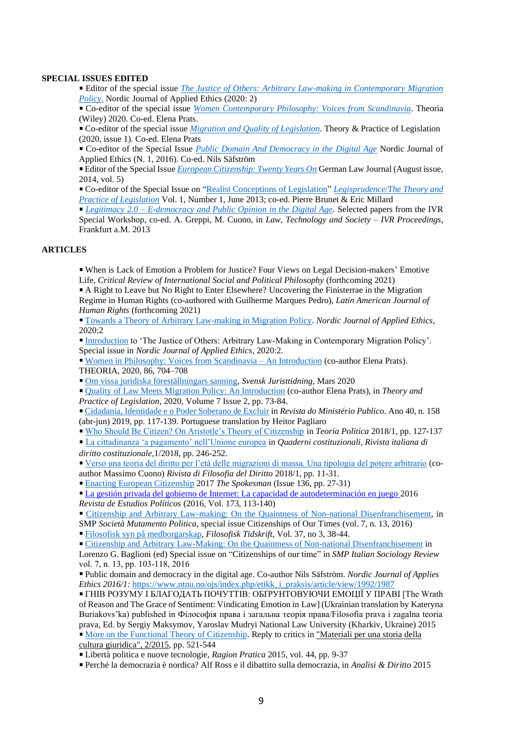#### **SPECIAL ISSUES EDITED**

Editor of the special issue *[The Justice of Others: Arbitrary Law-making in Contemporary Migration](https://www.ntnu.no/ojs/index.php/etikk_i_praksis/article/view/3830)  [Policy](https://www.ntnu.no/ojs/index.php/etikk_i_praksis/article/view/3830)*. Nordic Journal of Applied Ethics (2020: 2)

**Co-editor of the special issue** *[Women Contemporary Philosophy: Voices from Scandinavia](https://onlinelibrary.wiley.com/page/journal/17552567/special_issues)*. Theoria (Wiley) 2020. Co-ed. Elena Prats.

Co-editor of the special issue *Migration and [Quality of Legislation](https://www-tandfonline-com.ezproxy.its.uu.se/toc/rtpl20/7/2?nav=tocList)*. Theory & Practice of Legislation (2020, issue 1). Co-ed. Elena Prats

Co-editor of the Special Issue *[Public Domain And Democracy in the Digital Age](https://www.ntnu.no/ojs/index.php/etikk_i_praksis/announcement/view/16)* Nordic Journal of Applied Ethics (N. 1, 2016). Co-ed. Nils Säfström

Editor of the Special Issue *[European Citizenship: Twenty Years On](http://www.germanlawjournal.com/index.php?pageID=2&vol=15&no=5)* German Law Journal (August issue, 2014, vol. 5)

Co-editor of the Special Issue on ["Realist Conceptions of Legislation"](http://uu.diva-portal.org/smash/get/diva2:627342/FULLTEXT01.pdf) *[Legisprudence/The Theory and](http://www.ingentaconnect.com/content/hart/tpl/2013/00000001/00000001;jsessionid=4qsqd5fepg9ht.alice)  [Practice of Legislation](http://www.ingentaconnect.com/content/hart/tpl/2013/00000001/00000001;jsessionid=4qsqd5fepg9ht.alice)* Vol. 1, Number 1, June 2013; co-ed. Pierre Brunet & Eric Millard

*Legitimacy 2.0 – [E-democracy and Public Opinion in the Digital Age.](http://uppsala.academia.edu/PatriciaMindus/Books/1523457/LEGITIMACY_2.0_E-DEMOCRACY_AND_PUBLIC_OPINION_IN_THE_DIGITAL_AGE_edited_by_PATRICIA_MINDUS_ANDREA_GREPPI_MASSIMO_CUONO)* Selected papers from the IVR Special Workshop, co-ed. A. Greppi, M. Cuono, in *Law, Technology and Society – IVR Proceedings*, Frankfurt a.M. 2013

#### **ARTICLES**

When is Lack of Emotion a Problem for Justice? Four Views on Legal Decision-makers' Emotive Life, *Critical Review of International Social and Political Philosophy* (forthcoming 2021)

A Right to Leave but No Right to Enter Elsewhere? Uncovering the Finisterrae in the Migration Regime in Human Rights (co-authored with Guilherme Marques Pedro), *Latin American Journal of Human Rights* (forthcoming 2021)

[Towards a Theory of Arbitrary Law-making in Migration Policy.](https://www.ntnu.no/ojs/index.php/etikk_i_praksis/article/view/3712) *Nordic Journal of Applied Ethics*, 2020:2

[Introduction](https://www.ntnu.no/ojs/index.php/etikk_i_praksis/article/view/3830/3572) to 'The Justice of Others: Arbitrary Law-Making in Contemporary Migration Policy'. Special issue in *Nordic Journal of Applied Ethics*, 2020:2.

[Women in Philosophy: Voices from Scandinavia –](https://onlinelibrary.wiley.com/doi/full/10.1111/theo.12290) An Introduction (co-author Elena Prats). THEORIA, 2020, 86, 704–708

[Om vissa juridiska föreställningars sanning,](https://svjt.se/content/om-vissa-juridiska-forestallningars-sanning?fbclid=IwAR1YT58gGtaU5tG55uu5mS8CR00Esk5Zf-s2Nr-FjhuROL3IjnfuSu_F3pE) *Svensk Juristtidning*, Mars 2020

[Quality of Law Meets Migration Policy: An Introduction](https://www.tandfonline.com/doi/full/10.1080/20508840.2020.1729554) (co-author Elena Prats), in *Theory and Practice of Legislation*, 2020[, Volume 7](http://url310.tandfonline.com/ls/click?upn=odl8Fji2pFaByYDqV3bjGMQo8st9of2228V6AcSFNq2Vgk49wf2COskn6r9zWELvnh3dA0Fr0cdmjQzBSbBb-2F4nbx-2BIhO-2FMoaqkTTzOy4RaHoHB3E-2Fkm5LmmLIvYa8hlXK8x_-2F2Ce3NhTMiWIwvgWzERJRHtYgvdal9idULhvKrWUgwmDUc-2FDvbrMDWSUOucD-2BMo-2FbraHw-2BMbRZJOl1ZF0X4jq-2FVhZUo5gqTezZFLh1sRUlQOheYoqCSmt0xop5H-2B1ONU6lwDdAOjF3sXfK62dFeAoZuUTJpEFMD18BRfd6nSJwfII4OI12Soy6I25P-2F71RVPZFCu3Nnh7BUYlJRql2JGrNDxAuzR3hOrIudvOWqpDt0XxvKofesDM1dBSxBGUyooiz-2BLHsm5nfw67b6sFuoDmvHeMr6gtu2JU1op8JQxu8pqXi-2FjllU175DaMyaspSFC) [Issue 2,](http://url310.tandfonline.com/ls/click?upn=odl8Fji2pFaByYDqV3bjGMQo8st9of2228V6AcSFNq0XJZchXQ7mOzNpxtVLB1FXWnVohrMbd1KXo-2BaKp7rw1A-3D-3DMuTP_-2F2Ce3NhTMiWIwvgWzERJRHtYgvdal9idULhvKrWUgwmDUc-2FDvbrMDWSUOucD-2BMo-2FbraHw-2BMbRZJOl1ZF0X4jq-2FVhZUo5gqTezZFLh1sRUlQOheYoqCSmt0xop5H-2B1ONUrMFzS6YAvscPYPm3DhMYOD-2BuinadiDS7IK0CC8GntTMGp-2BFDuFh-2Fro-2FEhCAET2x9rITlDekTlro3UgbUu69L-2FGqBjypNkC1TV1PaXO5RuZ7KkPXImAUKYfRxoMfv9aZzo7Qw5RDaNAAh4u7aeD5ZumnlkYydEG-2BvOux6HzeZaFHH7NktZZgnJhnOzVXheCPg) pp. 73-84.

[Cidadania, Identidade e o Poder Soberano de Excluir](http://rmp.smmp.pt/wp-content/uploads/2019/08/6.RMP_158_Patricia_Mindus_3PAG.pdf) in *Revista do Ministério Publico*. Ano 40, n. 158 (abr-jun) 2019, pp. 117-139. Portuguese translation by Heitor Pagliaro

[Who Should Be Citizen? On Aristotle's Theory of Citizenship](https://uu.diva-portal.org/dream/add/add4.jsf) in *Teoria Politica* 2018/1, pp. 127-137

[La cittadinanza 'a pagamento' nell'Unione europea](http://uu.diva-portal.org/smash/record.jsf?pid=diva2%3A1196721&dswid=664) in *Quaderni costituzionali, Rivista italiana di diritto costituzionale,*1/2018, pp. 246-252.

[Verso una teoria del diritto per l'età delle migrazioni di massa. Una tipologia del potere arbitrario](/Users/patmi287/Downloads/Mindus.Cuono_RFD_finale%20(1)%20(1).pdf) (coauthor Massimo Cuono) *Rivista di Filosofia del Diritto* 2018/1, pp. 11-31.

[Enacting European Citizenship](https://spokesmanbookshop.com/epages/36621f87-f6e8-411d-b941-d46fe29be74c.sf/en_GB/?ObjectPath=/Shops/36621f87-f6e8-411d-b941-d46fe29be74c/Products/SPK136) 2017 *The Spokesman* (Issue 136, pp. 27-31)

[La gestión privada del gobierno de Internet: La capacidad de autodeterminación en juego](http://www.diva-portal.org/smash/record.jsf?dswid=-5008&pid=diva2%3A974081&c=15&searchType=SIMPLE&language=en&query=Mindus+patricia&af=%5B%22publicationTypeCode%3Aarticle%22%5D&aq=%5B%5B%5D%5D&aq2=%5B%5B%5D%5D&aqe=%5B%5D&noOfRows=50&sortOrder=author_sort_asc&onlyFullText=false&sf=all) 2016 *Revista de Estudios Políticos* (2016, Vol. 173, 113-140)

[Citizenship and Arbitrary Law-making: On the Quaintness of Non-national Disenfranchisement,](http://www.fupress.net/index.php/smp/article/view/18287) in SMP *Società Mutamento Politica,* special issue Citizenships of Our Times (vol. 7, n. 13, 2016)

[Filosofisk syn på medborgarskap,](http://uu.diva-portal.org/smash/record.jsf?pid=diva2%3A1040240&dswid=-5304) *Filosofisk Tidskrift*, Vol. 37, no 3, 38-44.

Citizenship and Arbitrary Law-Making: [On the Quaintness of Non-national Disenfranchisement](http://www.fupress.net/index.php/smp/article/view/18287) in

Lorenzo G. Baglioni (ed) Special issue on "Citizenships of our time" in *SMP Italian Sociology Review* vol. 7, n. 13, pp. 103-118, 2016

Public domain and democracy in the digital age. Co-author Nils Säfström. *Nordic Journal of Applies Ethics 2016/1:* [https://www.ntnu.no/ojs/index.php/etikk\\_i\\_praksis/article/view/1992/1987](https://www.ntnu.no/ojs/index.php/etikk_i_praksis/article/view/1992/1987)

ГНІВ РОЗУМУ І БЛАГОДАТЬ ПОЧУТТІВ: ОБҐРУНТОВУЮЧИ ЕМОЦІЇ У ПРАВІ [The Wrath of Reason and The Grace of Sentiment: Vindicating Emotion in Law] (Ukrainian translation by Kateryna Buriakovs'ka) published in Філософія права і загальна теорія права/Filosofia prava i zagalna teoria prava, Ed. by Sergiy Maksymov, Yaroslav Mudryi National Law University (Kharkiv, Ukraine) 2015 [More on the Functional Theory of Citizenship.](https://www.rivisteweb.it/doi/10.1436/81407) Reply to critics in ["Materiali](https://www.rivisteweb.it/issn/1120-9607/issue/6765) per una storia della cultura [giuridica",](https://www.rivisteweb.it/issn/1120-9607/issue/6765) 2/2015, pp. 521-544

Libertà politica e nuove tecnologie, *Ragion Pratica* 2015, vol. 44, pp. 9-37

Perché la democrazia è nordica? Alf Ross e il dibattito sulla democrazia, in *Analisi & Diritto* 2015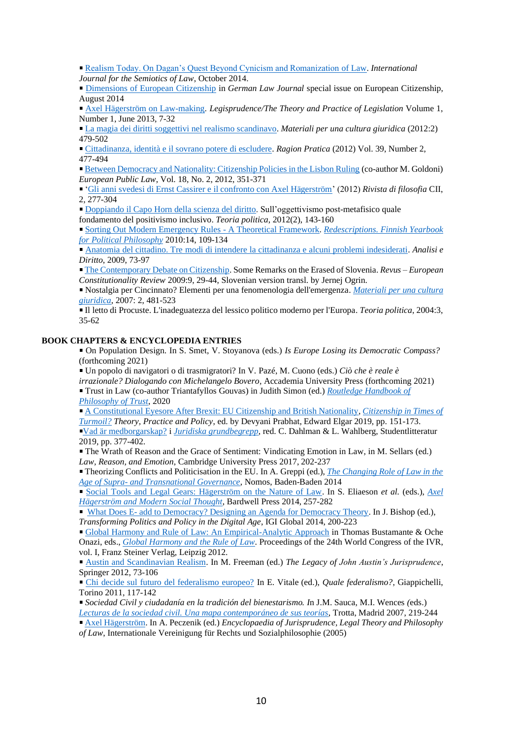[Realism Today. On Dagan's Quest Beyond Cynicism and Romanization of Law.](http://link.springer.com/article/10.1007%2Fs11196-014-9397-2#page-1) *International* 

*Journal for the Semiotics of Law*, October 2014.

[Dimensions of European Citizenship](http://www.germanlawjournal.com/index.php?pageID=11&artID=1639) in *German Law Journal* special issue on European Citizenship, August 2014

[Axel Hägerström on Law-making.](http://www.ingentaconnect.com/content/hart/tpl/2013/00000001/00000001/art00002?crawler=true) *Legisprudence/The Theory and Practice of Legislation* Volume 1, Number 1, June 2013, 7-32

[La magia dei diritti soggettivi nel realismo scandinavo.](https://agenda.unibocconi.it/eventi/attach/Mindus_I_magici_diritti_soggettivi%5B1%5D20120131121649.pdf) *Materiali per una cultura giuridica* (2012:2) 479-502

[Cittadinanza, identità e il sovrano potere di escludere.](http://www.rivisteweb.it/doi/10.1415/38543) *Ragion Pratica* (2012) Vol. 39, Number 2, 477-494

[Between Democracy and Nationality: Citizenship Policies in the Lisbon Ruling](http://papers.ssrn.com/sol3/papers.cfm?abstract_id=1855566) (co-author M. Goldoni) *European Public Law*, Vol. 18, No. 2, 2012, 351-371

['Gli anni svedesi di Ernst Cassirer e il confronto con Axel Hägerström'](http://www.mulino.it/rivisteweb/scheda_articolo.php?id_articolo=37258) (2012) *Rivista di filosofia* CII, 2, 277-304

[Doppiando il Capo Horn della scienza del diritto.](http://uu.diva-portal.org/smash/get/diva2:555611/FULLTEXT02) Sull'oggettivismo post-metafisico quale

fondamento del positivismo inclusivo. *Teoria politica*, 2012(2), 143-160

[Sorting Out Modern Emergency Rules -](http://uu.diva-portal.org/smash/record.jsf?searchId=2&pid=diva2:465982) A Theoretical Framework. *[Redescriptions. Finnish Yearbook](http://www.jyu.fi/yhtfil/redescriptions/editornote.htm)  [for Political Philosophy](http://www.jyu.fi/yhtfil/redescriptions/editornote.htm)* 2010:14, 109-134

[Anatomia del cittadino. Tre modi di intendere la cittadinanza e alcuni problemi indesiderati.](http://revistas.marcialpons.es/fichaarticulo.php?id_articulo=1057) *Analisi e Diritto*, 2009, 73-97

[The Contemporary Debate on Citizenship.](http://revus.revues.org/425) Some Remarks on the Erased of Slovenia. *Revus – European Constitutionality Review* 2009:9, 29-44, Slovenian version transl. by Jernej Ogrin.

Nostalgia per Cincinnato? Elementi per una fenomenologia dell'emergenza. *Materiali [per una cultura](http://www.mulino.it/edizioni/riviste/scheda_rivista.php?issn=1120-9607)  [giuridica](http://www.mulino.it/edizioni/riviste/scheda_rivista.php?issn=1120-9607)*, 2007: 2, 481-523

Il letto di Procuste. L'inadeguatezza del lessico politico moderno per l'Europa. *Teoria politica*, 2004:3, 35-62

### **BOOK CHAPTERS & ENCYCLOPEDIA ENTRIES**

On Population Design. In S. Smet, V. Stoyanova (eds.) *Is Europe Losing its Democratic Compass?*  (forthcoming 2021)

Un popolo di navigatori o di trasmigratori? In V. Pazé, M. Cuono (eds.) *Ciò che è reale è irrazionale? Dialogando con Michelangelo Bovero,* Accademia University Press (forthcoming 2021) Trust in Law (co-author Triantafyllos Gouvas) in Judith Simon (ed.) *[Routledge Handbook of](https://www.routledge.com/The-Routledge-Handbook-of-Trust-and-Philosophy/Simon/p/book/9781138687462)* 

*[Philosophy of Trust](https://www.routledge.com/The-Routledge-Handbook-of-Trust-and-Philosophy/Simon/p/book/9781138687462)*, 2020

[A Constitutional Eyesore After Brexit: EU Citizenship and British Nationality,](http://uu.diva-portal.org/smash/get/diva2:1353357/FULLTEXT01.pdf) *[Citizenship in Times of](https://www.e-elgar.com/shop/citizenship-in-times-of-turmoil)  [Turmoil?](https://www.e-elgar.com/shop/citizenship-in-times-of-turmoil) Theory, Practice and Policy*, ed. by Devyani Prabhat, Edward Elgar 2019, pp. 151-173. [Vad är medborgarskap?](http://uu.diva-portal.org/smash/record.jsf?dswid=7675&pid=diva2%3A1353385&c=1&searchType=SIMPLE&language=en&query=patricia+mindus+vad+%C3%A4r&af=%5B%5D&aq=%5B%5B%5D%5D&aq2=%5B%5B%5D%5D&aqe=%5B%5D&noOfRows=50&sortOrder=author_sort_asc&sortOrder2=title_sort_asc&onlyFullText=false&sf=all) i *[Juridiska grundbegrepp](https://www.studentlitteratur.se/#9789144127118/Juridiska+grundbegrepp)*, red. C. Dahlman & L. Wahlberg, Studentlitteratur 2019, pp. 377-402.

The Wrath of Reason and the Grace of Sentiment: Vindicating Emotion in Law, in M. Sellars (ed.) *Law, Reason, and Emotion*, Cambridge University Press 2017, 202-237

Theorizing Conflicts and Politicisation in the EU. In A. Greppi (ed.), *[The Changing Role of Law in the](http://www.nomos-shop.de/_assets/downloads/9783832953614_lese01.pdf)  Age of Supra- [and Transnational Governance](http://www.nomos-shop.de/_assets/downloads/9783832953614_lese01.pdf)*, Nomos, Baden-Baden 2014

[Social Tools and Legal Gears: Hägerström on the Nature of Law.](http://uu.diva-portal.org/smash/record.jsf?searchId=2&pid=diva2:466329) In S. Eliaeson *et al.* (eds.), *[Axel](http://www.hagerstromcentennial.se/index.html)  [Hägerström and Modern Social Thought](http://www.hagerstromcentennial.se/index.html)*, Bardwell Press 2014, 257-282

 What Does E- [add to Democracy? Designing an Agenda for Democracy Theory.](http://www.igi-global.com/chapter/what-does-e--add-to-democracy/108394) In J. Bishop (ed.), *Transforming Politics and Policy in the Digital Age*, IGI Global 2014, 200-223

[Global Harmony and Rule of Law: An Empirical-Analytic Approach](http://papers.ssrn.com/sol3/papers.cfm?abstract_id=1866684) in Thomas Bustamante & Oche Onazi, eds., *[Global Harmony and the Rule of Law](http://www.steiner-verlag.de/reihe/view/titel/59025.html)*. Proceedings of the 24th World Congress of the IVR, vol. I, Franz Steiner Verlag, Leipzig 2012.

[Austin and Scandinavian Realism.](http://www.springerlink.com/content/hn243820786r1468/) In M. Freeman (ed.) *The Legacy of John Austin's Jurisprudence*, Springer 2012, 73-106

[Chi decide sul futuro del federalismo europeo?](http://uu.diva-portal.org/smash/record.jsf?searchId=2&pid=diva2:466000) In E. Vitale (ed.), *Quale federalismo?*, Giappichelli, Torino 2011, 117-142

*Sociedad Civil y ciudadanía en la tradición del bienestarismo. I*n J.M. Sauca, M.I. Wences *(*eds.) *[Lecturas de la sociedad civil. Una mapa contemporáneo de sus teorías](http://www.trotta.es/pagina.php?cs_id_pagina=13&cs_id_contenido=2220)*, Trotta, Madrid 2007, 219-244

[Axel Hägerström.](http://ivr-enc.info/index.php?title=H%C3%A4gerstr%C3%B6m,_Axel) In A. Peczenik (ed.) *Encyclopaedia of Jurisprudence, Legal Theory and Philosophy of Law*, Internationale Vereinigung für Rechts und Sozialphilosophie (2005)